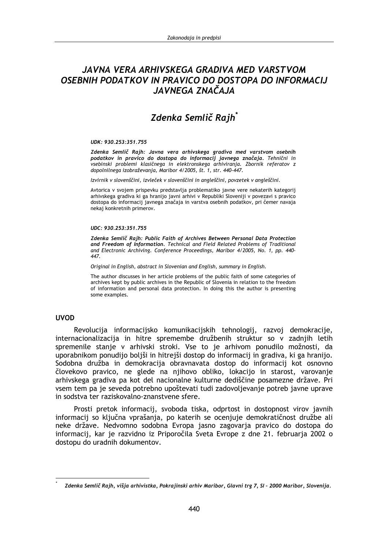# JAVNA VERA ARHIVSKEGA GRADIVA MED VARSTVOM OSEBNIH PODATKOV IN PRAVICO DO DOSTOPA DO INFORMACIJ JAVNEGA ZNAČAJA

# Zdenka Semlič Rajh\*

#### UDK: 930.253:351.755

Zdenka Semlič Rajh: Javna vera arhivskega gradiva med varstvom osebnih podatkov in pravico do dostopa do informacij javnega značaja. Tehnični in vsebinski problemi klasičnega in elektronskega arhiviranja. Zbornik referatov z dopolnilnega izobraževanja, Maribor 4/2005, št. 1, str. 440-447.

Izvirnik v slovenščini, izvleček v slovenščini in angleščini, povzetek v angleščini.

Avtorica v svojem prispevku predstavlja problematiko javne vere nekaterih kategorij arhivskega gradiva ki ga hranijo javni arhivi v Republiki Sloveniji v povezavi s pravico dostopa do informacij javnega značaja in varstva osebnih podatkov, pri čemer navaja nekaj konkretnih primerov.

#### UDC: 930.253:351.755

Zdenka Semlič Raih: Public Faith of Archives Between Personal Data Protection and Freedom of Information. Technical and Field Related Problems of Traditional and Electronic Archiving. Conference Proceedings, Maribor 4/2005, No. 1, pp. 440- $447$ 

Original in English, abstract in Slovenian and English, summary in English.

The author discusses in her article problems of the public faith of some categories of archives kept by public archives in the Republic of Slovenia in relation to the freedom of information and personal data protection. In doing this the author is presenting some examples.

### **UVOD**

Revolucija informacijsko komunikacijskih tehnologij, razvoj demokracije, internacionalizacija in hitre spremembe družbenih struktur so v zadnijh letih spremenile stanie v arhivski stroki. Vse to je arhivom ponudilo možnosti, da uporabnikom ponudijo boljši in hitrejši dostop do informacij in gradiva, ki ga hranijo. Sodobna družba in demokracija obravnavata dostop do informacij kot osnovno človekovo pravico, ne glede na njihovo obliko, lokacijo in starost, varovanje arhivskega gradiva pa kot del nacionalne kulturne dediščine posamezne države. Pri vsem tem pa je seveda potrebno upoštevati tudi zadovoljevanje potreb javne uprave in sodstva ter raziskovalno-znanstvene sfere.

Prosti pretok informacij, svoboda tiska, odprtost in dostopnost virov javnih informacij so ključna vprašanja, po katerih se ocenjuje demokratičnost družbe ali neke države. Nedvomno sodobna Evropa jasno zagovarja pravico do dostopa do informacij, kar je razvidno iz Priporočila Sveta Evrope z dne 21. februarja 2002 o dostopu do uradnih dokumentov.

Zdenka Semlič Rajh, višja arhivistka, Pokrajinski arhiv Maribor, Glavni trg 7, SI - 2000 Maribor, Slovenija.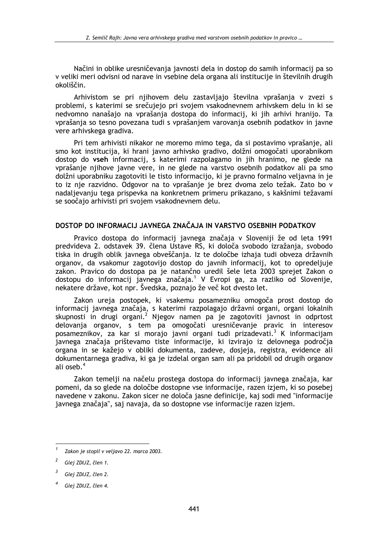Načini in oblike uresničevania javnosti dela in dostop do samih informacij pa so v veliki meri odvisni od narave in vsebine dela organa ali institucije in številnih drugih okoliščin.

Arhivistom se pri nijhovem delu zastavljajo številna vprašanja v zvezi s problemi, s katerimi se srečujejo pri svojem vsakodnevnem arhivskem delu in ki se nedvomno nanašajo na vprašanja dostopa do informacij, ki jih arhivi hranijo. Ta vprašanja so tesno povezana tudi s vprašanjem varovanja osebnih podatkov in javne vere arhivskega gradiva.

Pri tem arhivisti nikakor ne moremo mimo tega, da si postavimo vprašanje, ali smo kot institucija, ki hrani javno arhivsko gradivo, dolžni omogočati uporabnikom dostop do vseh informacij, s katerimi razpolagamo in jih hranimo, ne glede na vprašanje njihove javne vere, in ne glede na varstvo osebnih podatkov ali pa smo dolžni uporabniku zagotoviti le tisto informacijo, ki je pravno formalno veljavna in je to iz nje razvidno. Odgovor na to vprašanje je brez dvoma zelo težak. Zato bo v nadaljevanju tega prispevka na konkretnem primeru prikazano, s kakšnimi težavami se soočajo arhivisti pri svojem vsakodnevnem delu.

## DOSTOP DO INFORMACIJ JAVNEGA ZNAČAJA IN VARSTVO OSEBNIH PODATKOV

Pravico dostopa do informacij javnega značaja v Sloveniji že od leta 1991 predvideva 2. odstavek 39. člena Ustave RS, ki določa svobodo izražanja, svobodo tiska in drugih oblik javnega obveščanja. Iz te določbe izhaja tudi obveza državnih organov, da vsakomur zagotovijo dostop do javnih informacij, kot to opredeljuje zakon. Pravico do dostopa pa je natančno uredil šele leta 2003 sprejet Zakon o dostopu do informacij javnega značaja.<sup>1</sup> V Evropi ga, za razliko od Slovenije, nekatere države, kot npr. Švedska, poznajo že več kot dvesto let.

Zakon ureja postopek, ki vsakemu posamezniku omogoča prost dostop do informacij javnega značaja, s katerimi razpolagajo državni organi, organi lokalnih skupnosti in drugi organi.<sup>2</sup> Njegov namen pa je zagotoviti javnost in odprtost delovanja organov, s tem pa omogočati uresničevanje pravic in interesov posameznikov, za kar si morajo javni organi tudi prizadevati.<sup>3</sup> K informacijam javnega značaja prištevamo tiste informacije, ki izvirajo iz delovnega področja organa in se kažejo v obliki dokumenta, zadeve, dosjeja, registra, evidence ali dokumentarnega gradiva, ki ga je izdelal organ sam ali pa pridobil od drugih organov ali oseb.<sup>4</sup>

Zakon temelji na načelu prostega dostopa do informacij javnega značaja, kar pomeni, da so glede na določbe dostopne vse informacije, razen izjem, ki so posebej navedene v zakonu. Zakon sicer ne določa jasne definicije, kaj sodi med "informacije javnega značaja", saj navaja, da so dostopne vse informacije razen izjem.

Zakon je stopil v veljavo 22. marca 2003.

Glej ZDIJZ, člen 1.

Glej ZDIJZ, člen 2.

Glej ZDIJZ, člen 4.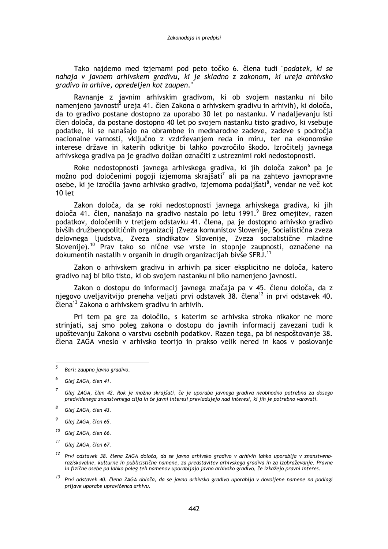Tako najdemo med izjemami pod peto točko 6. člena tudi "podatek, ki se nahaja v javnem arhivskem gradivu, ki je skladno z zakonom, ki ureja arhivsko gradivo in arhive, opredelien kot zaupen."

Ravnanie z javnim arhivskim gradivom, ki ob svojem nastanku ni bilo namenjeno javnosti<sup>5</sup> ureja 41. člen Zakona o arhivskem gradivu in arhivih), ki določa, da to gradivo postane dostopno za uporabo 30 let po nastanku. V nadaljevanju isti člen določa, da postane dostopno 40 let po svojem nastanku tisto gradivo, ki vsebuje podatke, ki se nanašajo na obrambne in mednarodne zadeve, zadeve s področja nacionalne varnosti, vključno z vzdrževanjem reda in miru, ter na ekonomske interese države in katerih odkritje bi lahko povzročilo škodo. Izročitelj javnega arhivskega gradiva pa je gradivo dolžan označiti z ustreznimi roki nedostopnosti.

Roke nedostopnosti javnega arhivskega gradiva, ki jih določa zakon<sup>6</sup> pa je možno pod določenimi pogoji izjemoma skrajšati<sup>7</sup> ali pa na zahtevo javnopravne osebe, ki je izročila javno arhivsko gradivo, izjemoma podaljšati<sup>8</sup>, vendar ne več kot  $10$  let

Zakon določa, da se roki nedostopnosti javnega arhivskega gradiva, ki jih določa 41. člen, nanašajo na gradivo nastalo po letu 1991.<sup>9</sup> Brez omejitev, razen podatkov, določenih v tretjem odstavku 41. člena, pa je dostopno arhivsko gradivo bivših družbenopolitičnih organizacij (Zveza komunistov Slovenije, Socialistična zveza delovnega ljudstva, Zveza sindikatov Slovenije, Zveza socialistične mladine Sloveniie).<sup>10</sup> Prav tako so nične vse vrste in stopnje zaupnosti, označene na dokumentih nastalih v organih in drugih organizacijah bivše SFRJ.<sup>11</sup>

Zakon o arhivskem gradivu in arhivih pa sicer eksplicitno ne določa, katero gradivo naj bi bilo tisto, ki ob svojem nastanku ni bilo namenjeno javnosti.

Zakon o dostopu do informacij javnega značaja pa v 45. členu določa, da z niegovo uveliavitvijo preneha veljati prvi odstavek 38. člena<sup>12</sup> in prvi odstavek 40. člena<sup>13</sup> Zakona o arhivskem gradivu in arhivih.

Pri tem pa gre za določilo, s katerim se arhivska stroka nikakor ne more striniati, sai smo poleg zakona o dostopu do javnih informacii zavezani tudi k upoštevanju Zakona o varstvu osebnih podatkov. Razen tega, pa bi nespoštovanje 38. člena ZAGA vneslo v arhivsko teorijo in prakso velik nered in kaos v poslovanje

 $\overline{5}$ Beri: zaupno javno gradivo.

<sup>6</sup> Glej ZAGA, člen 41.

Glej ZAGA, člen 42. Rok je možno skrajšati, če je uporaba javnega gradiva neobhodno potrebna za dosego predvidenega znanstvenega cilja in če javni interesi prevladujejo nad interesi, ki jih je potrebno varovati.

<sup>8</sup> Glej ZAGA, člen 43.

 $\overline{g}$ Glei ZAGA, člen 65.

<sup>10</sup> Glej ZAGA, člen 66.

<sup>&</sup>lt;sup>11</sup> Glei ZAGA, člen 67.

<sup>&</sup>lt;sup>12</sup> Prvi odstavek 38. člena ZAGA določa, da se javno arhivsko gradivo v arhivih lahko uporablja v znanstvenoraziskovalne, kulturne in publicistične namene, za predstavitev arhivskega gradiva in za izobraževanje. Pravne in fizične osebe pa lahko poleg teh namenov uporabljajo javno arhivsko gradivo, če izkažejo pravni interes.

<sup>&</sup>lt;sup>13</sup> Prvi odstavek 40. člena ZAGA določa, da se javno arhivsko gradivo uporablja v dovoljene namene na podlagi prijave uporabe upravičenca arhivu.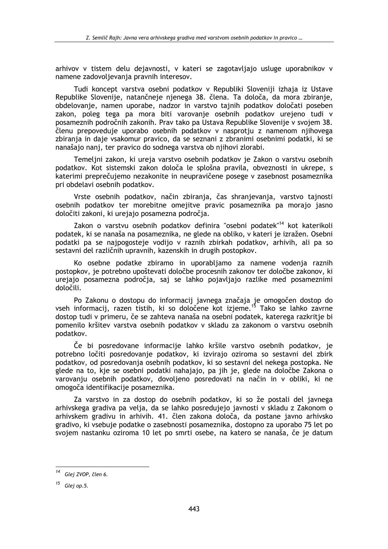arhivov v tistem delu dejavnosti, v kateri se zagotavljajo usluge uporabnikov v namene zadovolievania pravnih interesov.

Tudi koncept varstva osebni podatkov v Republiki Sloveniji izhaja iz Ustave Republike Slovenije, natančneje njenega 38. člena. Ta določa, da mora zbiranje, obdelovanje, namen uporabe, nadzor in varstvo tajnih podatkov določati poseben zakon, poleg tega pa mora biti varovanje osebnih podatkov urejeno tudi v posameznih področnih zakonih. Prav tako pa Ustava Republike Slovenije v svojem 38. členu prepoveduje uporabo osebnih podatkov v nasprotju z namenom njihovega zbiranja in daje vsakomur pravico, da se seznani z zbranimi osebnimi podatki, ki se nanašajo nanj, ter pravico do sodnega varstva ob njihovi zlorabi.

Temeljni zakon, ki ureja varstvo osebnih podatkov je Zakon o varstvu osebnih podatkov. Kot sistemski zakon določa le splošna pravila, obveznosti in ukrepe, s katerimi preprečujemo nezakonite in neupravičene posege v zasebnost posameznika pri obdelavi osebnih podatkov.

Vrste osebnih podatkov, način zbiranja, čas shranjevanja, varstvo tajnosti osebnih podatkov ter morebitne omejitve pravic posameznika pa morajo jasno določiti zakoni, ki urejajo posamezna področja.

Zakon o varstvu osebnih podatkov definira "osebni podatek"<sup>14</sup> kot katerikoli podatek, ki se nanaša na posameznika, ne glede na obliko, v kateri je izražen. Osebni podatki pa se najpogosteje vodijo v raznih zbirkah podatkov, arhivih, ali pa so sestavni del različnih upravnih, kazenskih in drugih postopkov.

Ko osebne podatke zbiramo in uporabliamo za namene vodenja raznih postopkov, je potrebno upoštevati določbe procesnih zakonov ter določbe zakonov, ki urejajo posamezna področja, saj se lahko pojavljajo razlike med posameznimi določili.

Po Zakonu o dostopu do informacij javnega značaja je omogočen dostop do vseh informacij, razen tistih, ki so določene kot izjeme.<sup>15</sup> Tako se lahko zavrne dostop tudi v primeru, če se zahteva nanaša na osebni podatek, katerega razkritje bi pomenilo kršitev varstva osebnih podatkov v skladu za zakonom o varstvu osebnih podatkov.

Če bi posredovane informacije lahko kršile varstvo osebnih podatkov, je potrebno ločiti posredovanje podatkov, ki izvirajo oziroma so sestavni del zbirk podatkov, od posredovanja osebnih podatkov, ki so sestavni del nekega postopka. Ne glede na to, kje se osebni podatki nahajajo, pa jih je, glede na določbe Zakona o varovanju osebnih podatkov, dovoljeno posredovati na način in v obliki, ki ne omogoča identifikacije posameznika.

Za varstvo in za dostop do osebnih podatkov, ki so že postali del javnega arhivskega gradiva pa velja, da se lahko posredujejo javnosti v skladu z Zakonom o arhivskem gradivu in arhivih. 41. člen zakona določa, da postane javno arhivsko gradivo, ki vsebuje podatke o zasebnosti posameznika, dostopno za uporabo 75 let po svojem nastanku oziroma 10 let po smrti osebe, na katero se nanaša, če je datum

<sup>&</sup>lt;sup>14</sup> Glej ZVOP, člen 6.

 $15$  Glej op.5.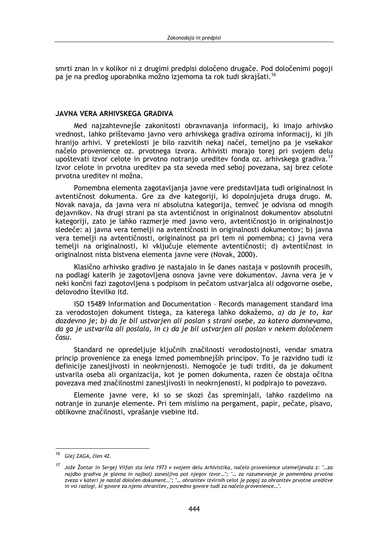smrti znan in v kolikor ni z drugimi predpisi določeno drugače. Pod določenimi pogoji pa je na predlog uporabnika možno izjemoma ta rok tudi skrajšati.<sup>16</sup>

### JAVNA VERA ARHIVSKEGA GRADIVA

Med najzahtevnejše zakonitosti obravnavanja informacij, ki imajo arhivsko vrednost, lahko prištevamo javno vero arhivskega gradiva oziroma informacij, ki jih hranijo arhivi. V preteklosti je bilo razvitih nekaj načel, temeljno pa je vsekakor načelo provenience oz. prvotnega izvora. Arhivisti morajo torej pri svojem delu upoštevati izvor celote in prvotno notranjo ureditev fonda oz. arhivskega gradiva.<sup>17</sup> Izvor celote in prvotna ureditev pa sta seveda med seboj povezana, saj brez celote prvotna ureditev ni možna.

Pomembna elementa zagotavljanja javne vere predstavljata tudi originalnost in avtentičnost dokumenta. Gre za dve kategoriji, ki dopolnjujeta druga drugo. M. Novak navaia, da iavna vera ni absolutna kategorija, temveč je odvisna od mnogih dejavnikov. Na drugi strani pa sta avtentičnost in originalnost dokumentov absolutni kategoriji, zato je lahko razmerje med javno vero, avtentičnostjo in originalnostjo sledeče: a) javna vera temelji na avtentičnosti in originalnosti dokumentov; b) javna vera temelji na avtentičnosti, originalnost pa pri tem ni pomembna; c) javna vera temelji na originalnosti, ki vključuje elemente avtentičnosti; d) avtentičnost in originalnost nista bistvena elementa javne vere (Novak, 2000).

Klasično arhivsko gradivo je nastajalo in še danes nastaja v poslovnih procesih, na podlagi katerih je zagotovljena osnova javne vere dokumentov. Javna vera je v neki končni fazi zagotovljena s podpisom in pečatom ustvarjalca ali odgovorne osebe, delovodno številko itd.

ISO 15489 Information and Documentation - Records management standard ima za verodostojen dokument tistega, za katerega lahko dokažemo, a) da je to, kar dozdevno ie: b) da je bil ustvarien ali poslan s strani osebe, za katero domnevamo, da ga je ustvarila ali poslala, in c) da je bil ustvarjen ali poslan v nekem določenem času.

Standard ne opredeljuje ključnih značilnosti verodostojnosti, vendar smatra princip provenience za enega izmed pomembnejših principov. To je razvidno tudi iz definicije zanesljivosti in neokrnjenosti. Nemogoče je tudi trditi, da je dokument ustvarila oseba ali organizacija, kot je pomen dokumenta, razen če obstaja očitna povezava med značilnostmi zanesljivosti in neokrnjenosti, ki podpirajo to povezavo.

Elemente javne vere, ki so se skozi čas spreminjali, lahko razdelimo na notranje in zunanje elemente. Pri tem mislimo na pergament, papir, pečate, pisavo, oblikovne značilnosti, vprašanje vsebine itd.

<sup>16</sup> Glej ZAGA, člen 42.

Jože Žontar in Sergej Vilfan sta leta 1973 v svojem delu Arhivistika, načelo provenience utemeljevala z: "...za najdbo gradiva je glavna in najbolj zanesljiva pot njegov izvor..."; "... za razumevanje je pomembna prvotna zveza v kateri je nastal določen dokument..."; "... ohranitev izvirnih celot je pogoj za ohranitev prvotne ureditve in vsi razlogi, ki govore za njeno ohranitev, posredno govore tudi za načelo provenience...".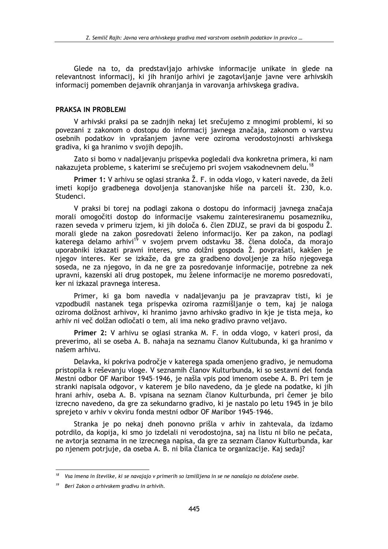Glede na to, da predstavliajo arhivske informacije unikate in glede na relevantnost informacii, ki jih hranijo arhivi je zagotavljanje javne vere arhivskih informacii pomemben dejavnik ohranjanja in varovanja arhivskega gradiva.

### **PRAKSA IN PROBLEMI**

V arhivski praksi pa se zadnijh nekaj let srečujemo z mnogimi problemi, ki so povezani z zakonom o dostopu do informacij javnega značaja, zakonom o varstvu osebnih podatkov in vprašanjem javne vere oziroma verodostojnosti arhivskega gradiva, ki ga hranimo v svojih depojih.

Zato si bomo v nadaljevanju prispevka pogledali dva konkretna primera, ki nam nakazujeta probleme, s katerimi se srečujemo pri svojem vsakodnevnem delu.<sup>18</sup>

Primer 1: V arhivu se oglasi stranka Ž. F. in odda vlogo, v kateri navede, da želi imeti kopijo gradbenega dovoljenja stanovanjske hiše na parceli št. 230, k.o. Studenci.

V praksi bi torej na podlagi zakona o dostopu do informacij javnega značaja morali omogočiti dostop do informacije vsakemu zainteresiranemu posamezniku, razen seveda v primeru izjem, ki jih določa 6. člen ZDIJZ, se pravi da bi gospodu Ž. morali glede na zakon posredovati želeno informacijo. Ker pa zakon, na podlagi katerega delamo arhivi<sup>19</sup> v svojem prvem odstavku 38. člena določa, da morajo uporabniki izkazati pravni interes, smo dolžni gospoda Ž. povprašati, kakšen je njegov interes. Ker se izkaže, da gre za gradbeno dovoljenje za hišo njegovega soseda, ne za njegovo, in da ne gre za posredovanje informacije, potrebne za nek upravni, kazenski ali drug postopek, mu želene informacije ne moremo posredovati, ker ni izkazal pravnega interesa.

Primer, ki ga bom navedla v nadaljevanju pa je pravzaprav tisti, ki je vzpodbudil nastanek tega prispevka oziroma razmišljanje o tem, kaj je naloga oziroma dolžnost arhivov, ki hranimo javno arhivsko gradivo in kje je tista meja, ko arhiv ni več dolžan odločati o tem, ali ima neko gradivo pravno veljavo.

Primer 2: V arhivu se oglasi stranka M. F. in odda vlogo, v kateri prosi, da preverimo, ali se oseba A. B. nahaja na seznamu članov Kultubunda, ki ga hranimo v našem arhivu.

Delavka, ki pokriva področie v katerega spada omenieno gradivo, je nemudoma pristopila k reševanju vloge. V seznamih članov Kulturbunda, ki so sestavni del fonda Mestni odbor OF Maribor 1945-1946, je našla vpis pod imenom osebe A. B. Pri tem je stranki napisala odgovor, v katerem je bilo navedeno, da je glede na podatke, ki jih hrani arhiv, oseba A. B. vpisana na seznam članov Kulturbunda, pri čemer je bilo izrecno navedeno, da gre za sekundarno gradivo, ki je nastalo po letu 1945 in je bilo sprejeto v arhiv v okviru fonda mestni odbor OF Maribor 1945-1946.

Stranka je po nekaj dneh ponovno prišla v arhiv in zahtevala, da izdamo potrdilo, da kopija, ki smo jo izdelali ni verodostojna, saj na listu ni bilo ne pečata, ne avtorja seznama in ne izrecnega napisa, da gre za seznam članov Kulturbunda, kar po njenem potrjuje, da oseba A. B. ni bila članica te organizacije. Kaj sedaj?

 $18$  Vsa imena in številke, ki se navajajo v primerih so izmišljena in se ne nanašajo na določene osebe.

 $19$  Beri Zakon o arhivskem gradivu in arhivih.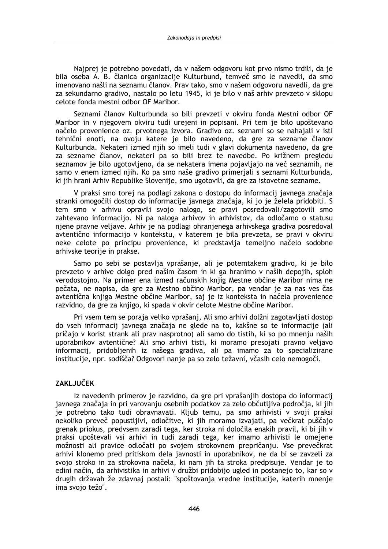Najprej je potrebno povedati, da v našem odgovoru kot prvo nismo trdili, da je bila oseba A. B. članica organizacije Kulturbund, temveč smo le navedli, da smo imenovano našli na seznamu članov. Prav tako, smo v našem odgovoru navedli, da gre za sekundarno gradivo, nastalo po letu 1945, ki je bilo v naš arhiv prevzeto v sklopu celote fonda mestni odbor OF Maribor.

Seznami članov Kulturbunda so bili prevzeti v okviru fonda Mestni odbor OF Maribor in v njegovem okviru tudi urejeni in popisani. Pri tem je bilo upoštevano načelo provenience oz. prvotnega izvora. Gradivo oz. seznami so se nahajali v isti tehnični enoti, na ovoju katere je bilo navedeno, da gre za sezname članov Kulturbunda. Nekateri izmed njih so imeli tudi v glavi dokumenta navedeno, da gre za sezname članov, nekateri pa so bili brez te navedbe. Po križnem pregledu seznamov je bilo ugotovljeno, da se nekatera imena pojavljajo na več seznamih, ne samo v enem izmed njih. Ko pa smo naše gradivo primerjali s seznami Kulturbunda, ki jih hrani Arhiv Republike Slovenije, smo ugotovili, da gre za istovetne sezname.

V praksi smo torej na podlagi zakona o dostopu do informacij javnega značaja stranki omogočili dostop do informacije javnega značaja, ki jo je želela pridobiti. S tem smo v arhivu opravili svojo nalogo, se pravi posredovali/zagotovili smo zahtevano informacijo. Ni pa naloga arhivov in arhivistov, da odločamo o statusu njene pravne veljave. Arhiv je na podlagi ohranjenega arhivskega gradiva posredoval avtentično informacijo v kontekstu, v katerem je bila prevzeta, se pravi v okviru neke celote po principu provenience, ki predstavlja temeljno načelo sodobne arhivske teorije in prakse.

Samo po sebi se postavlja vprašanje, ali je potemtakem gradivo, ki je bilo prevzeto v arhive dolgo pred našim časom in ki ga hranimo v naših depojih, sploh verodostojno. Na primer ena izmed računskih knjig Mestne občine Maribor nima ne pečata, ne napisa, da gre za Mestno občino Maribor, pa vendar je za nas ves čas avtentična knjiga Mestne občine Maribor, saj je iz konteksta in načela provenience razvidno, da gre za knijgo, ki spada v okvir celote Mestne občine Maribor.

Pri vsem tem se poraja veliko vprašanj, Ali smo arhivi dolžni zagotavljati dostop do vseh informacij javnega značaja ne glede na to, kakšne so te informacije (ali pričajo v korist strank ali prav nasprotno) ali samo do tistih, ki so po mnenju naših uporabnikov avtentične? Ali smo arhivi tisti, ki moramo presojati pravno veljavo informacij, pridobljenih iz našega gradiva, ali pa imamo za to specializirane institucije, npr. sodišča? Odgovori nanje pa so zelo težavni, včasih celo nemogoči.

## **ZAKLJUČEK**

Iz navedenih primerov je razvidno, da gre pri vprašanjih dostopa do informacij javnega značaja in pri varovanju osebnih podatkov za zelo občutljiva področja, ki jih je potrebno tako tudi obravnavati. Kljub temu, pa smo arhivisti v svoji praksi nekoliko preveč popustljivi, odločitve, ki jih moramo izvajati, pa večkrat puščajo grenak priokus, predvsem zaradi tega, ker stroka ni določila enakih pravil, ki bi jih v praksi upoštevali vsi arhivi in tudi zaradi tega, ker imamo arhivisti le omejene možnosti ali pravice odločati po svojem strokovnem prepričanju. Vse prevečkrat arhivi klonemo pred pritiskom dela javnosti in uporabnikov, ne da bi se zavzeli za svojo stroko in za strokovna načela, ki nam jih ta stroka predpisuje. Vendar je to edini način, da arhivistika in arhivi v družbi pridobijo ugled in postanejo to, kar so v drugih državah že zdavnaj postali: "spoštovanja vredne institucije, katerih mnenje ima svojo težo".